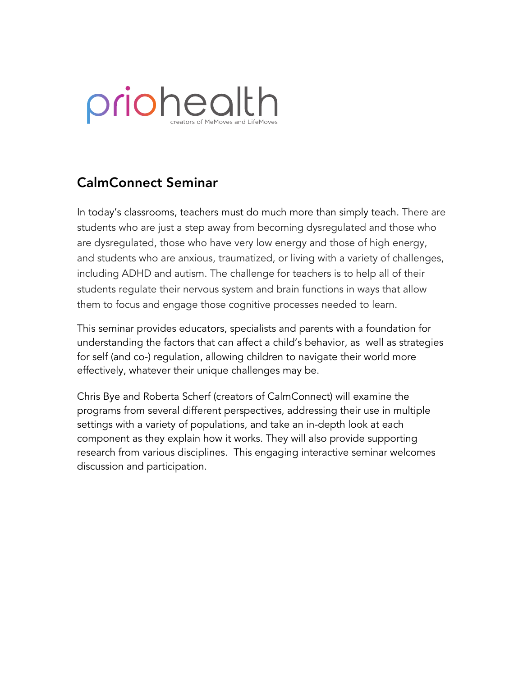# priohealth creators of MeMoves and LifeMoves

## CalmConnect Seminar

In today's classrooms, teachers must do much more than simply teach. There are students who are just a step away from becoming dysregulated and those who are dysregulated, those who have very low energy and those of high energy, and students who are anxious, traumatized, or living with a variety of challenges, including ADHD and autism. The challenge for teachers is to help all of their students regulate their nervous system and brain functions in ways that allow them to focus and engage those cognitive processes needed to learn.

This seminar provides educators, specialists and parents with a foundation for understanding the factors that can affect a child's behavior, as well as strategies for self (and co-) regulation, allowing children to navigate their world more effectively, whatever their unique challenges may be.

Chris Bye and Roberta Scherf (creators of CalmConnect) will examine the programs from several different perspectives, addressing their use in multiple settings with a variety of populations, and take an in-depth look at each component as they explain how it works. They will also provide supporting research from various disciplines. This engaging interactive seminar welcomes discussion and participation.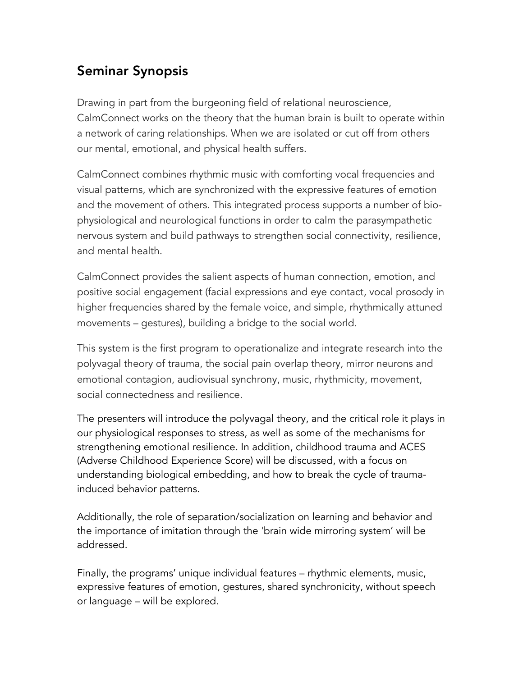## Seminar Synopsis

Drawing in part from the burgeoning field of relational neuroscience, CalmConnect works on the theory that the human brain is built to operate within a network of caring relationships. When we are isolated or cut off from others our mental, emotional, and physical health suffers.

CalmConnect combines rhythmic music with comforting vocal frequencies and visual patterns, which are synchronized with the expressive features of emotion and the movement of others. This integrated process supports a number of biophysiological and neurological functions in order to calm the parasympathetic nervous system and build pathways to strengthen social connectivity, resilience, and mental health.

CalmConnect provides the salient aspects of human connection, emotion, and positive social engagement (facial expressions and eye contact, vocal prosody in higher frequencies shared by the female voice, and simple, rhythmically attuned movements – gestures), building a bridge to the social world.

This system is the first program to operationalize and integrate research into the polyvagal theory of trauma, the social pain overlap theory, mirror neurons and emotional contagion, audiovisual synchrony, music, rhythmicity, movement, social connectedness and resilience.

The presenters will introduce the polyvagal theory, and the critical role it plays in our physiological responses to stress, as well as some of the mechanisms for strengthening emotional resilience. In addition, childhood trauma and ACES (Adverse Childhood Experience Score) will be discussed, with a focus on understanding biological embedding, and how to break the cycle of traumainduced behavior patterns.

Additionally, the role of separation/socialization on learning and behavior and the importance of imitation through the 'brain wide mirroring system' will be addressed.

Finally, the programs' unique individual features – rhythmic elements, music, expressive features of emotion, gestures, shared synchronicity, without speech or language – will be explored.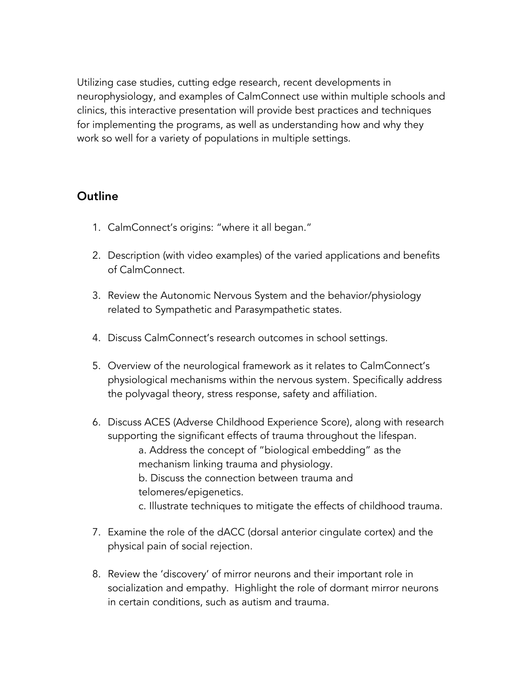Utilizing case studies, cutting edge research, recent developments in neurophysiology, and examples of CalmConnect use within multiple schools and clinics, this interactive presentation will provide best practices and techniques for implementing the programs, as well as understanding how and why they work so well for a variety of populations in multiple settings.

### **Outline**

- 1. CalmConnect's origins: "where it all began."
- 2. Description (with video examples) of the varied applications and benefits of CalmConnect.
- 3. Review the Autonomic Nervous System and the behavior/physiology related to Sympathetic and Parasympathetic states.
- 4. Discuss CalmConnect's research outcomes in school settings.
- 5. Overview of the neurological framework as it relates to CalmConnect's physiological mechanisms within the nervous system. Specifically address the polyvagal theory, stress response, safety and affiliation.
- 6. Discuss ACES (Adverse Childhood Experience Score), along with research supporting the significant effects of trauma throughout the lifespan. a. Address the concept of "biological embedding" as the mechanism linking trauma and physiology. b. Discuss the connection between trauma and telomeres/epigenetics. c. Illustrate techniques to mitigate the effects of childhood trauma.
- 7. Examine the role of the dACC (dorsal anterior cingulate cortex) and the physical pain of social rejection.
- 8. Review the 'discovery' of mirror neurons and their important role in socialization and empathy. Highlight the role of dormant mirror neurons in certain conditions, such as autism and trauma.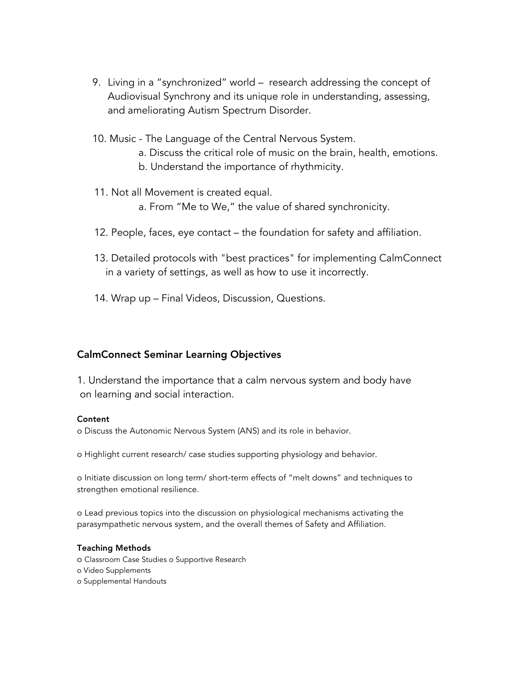- 9. Living in a "synchronized" world research addressing the concept of Audiovisual Synchrony and its unique role in understanding, assessing, and ameliorating Autism Spectrum Disorder.
- 10. Music The Language of the Central Nervous System.
	- a. Discuss the critical role of music on the brain, health, emotions.
	- b. Understand the importance of rhythmicity.
- 11. Not all Movement is created equal.
	- a. From "Me to We," the value of shared synchronicity.
- 12. People, faces, eye contact the foundation for safety and affiliation.
- 13. Detailed protocols with "best practices" for implementing CalmConnect in a variety of settings, as well as how to use it incorrectly.
- 14. Wrap up Final Videos, Discussion, Questions.

#### CalmConnect Seminar Learning Objectives

1. Understand the importance that a calm nervous system and body have on learning and social interaction.

#### **Content**

o Discuss the Autonomic Nervous System (ANS) and its role in behavior.

o Highlight current research/ case studies supporting physiology and behavior.

o Initiate discussion on long term/ short-term effects of "melt downs" and techniques to strengthen emotional resilience.

o Lead previous topics into the discussion on physiological mechanisms activating the parasympathetic nervous system, and the overall themes of Safety and Affiliation.

#### Teaching Methods

- o Classroom Case Studies o Supportive Research
- o Video Supplements
- o Supplemental Handouts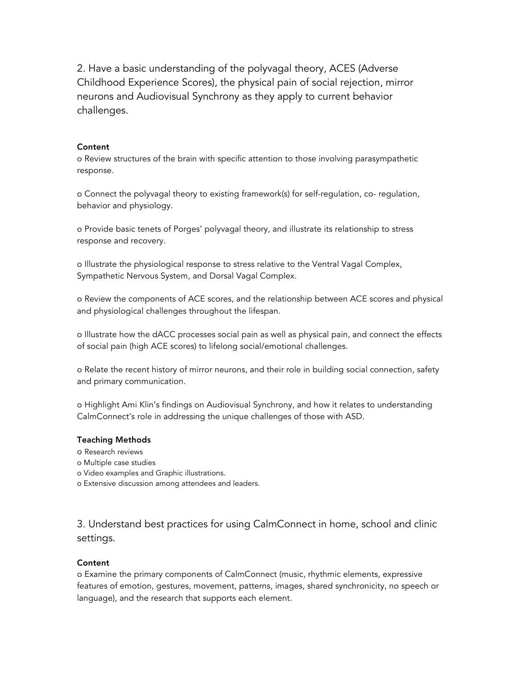2. Have a basic understanding of the polyvagal theory, ACES (Adverse Childhood Experience Scores), the physical pain of social rejection, mirror neurons and Audiovisual Synchrony as they apply to current behavior challenges.

#### **Content**

o Review structures of the brain with specific attention to those involving parasympathetic response.

o Connect the polyvagal theory to existing framework(s) for self-regulation, co- regulation, behavior and physiology.

o Provide basic tenets of Porges' polyvagal theory, and illustrate its relationship to stress response and recovery.

o Illustrate the physiological response to stress relative to the Ventral Vagal Complex, Sympathetic Nervous System, and Dorsal Vagal Complex.

o Review the components of ACE scores, and the relationship between ACE scores and physical and physiological challenges throughout the lifespan.

o Illustrate how the dACC processes social pain as well as physical pain, and connect the effects of social pain (high ACE scores) to lifelong social/emotional challenges.

o Relate the recent history of mirror neurons, and their role in building social connection, safety and primary communication.

o Highlight Ami Klin's findings on Audiovisual Synchrony, and how it relates to understanding CalmConnect's role in addressing the unique challenges of those with ASD.

#### Teaching Methods

- o Research reviews
- o Multiple case studies
- o Video examples and Graphic illustrations.
- o Extensive discussion among attendees and leaders.

3. Understand best practices for using CalmConnect in home, school and clinic settings.

#### **Content**

o Examine the primary components of CalmConnect (music, rhythmic elements, expressive features of emotion, gestures, movement, patterns, images, shared synchronicity, no speech or language), and the research that supports each element.